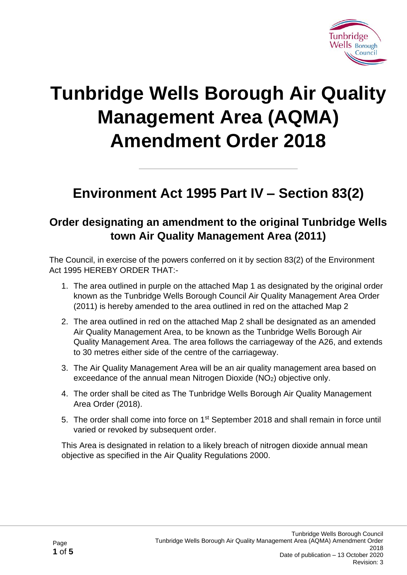

## **Tunbridge Wells Borough Air Quality Management Area (AQMA) Amendment Order 2018**

## **Environment Act 1995 Part IV – Section 83(2)**

## **Order designating an amendment to the original Tunbridge Wells town Air Quality Management Area (2011)**

The Council, in exercise of the powers conferred on it by section 83(2) of the Environment Act 1995 HEREBY ORDER THAT:-

- 1. The area outlined in purple on the attached Map 1 as designated by the original order known as the Tunbridge Wells Borough Council Air Quality Management Area Order (2011) is hereby amended to the area outlined in red on the attached Map 2
- 2. The area outlined in red on the attached Map 2 shall be designated as an amended Air Quality Management Area, to be known as the Tunbridge Wells Borough Air Quality Management Area. The area follows the carriageway of the A26, and extends to 30 metres either side of the centre of the carriageway.
- 3. The Air Quality Management Area will be an air quality management area based on exceedance of the annual mean Nitrogen Dioxide (NO<sub>2</sub>) objective only.
- 4. The order shall be cited as The Tunbridge Wells Borough Air Quality Management Area Order (2018).
- 5. The order shall come into force on 1<sup>st</sup> September 2018 and shall remain in force until varied or revoked by subsequent order.

This Area is designated in relation to a likely breach of nitrogen dioxide annual mean objective as specified in the Air Quality Regulations 2000.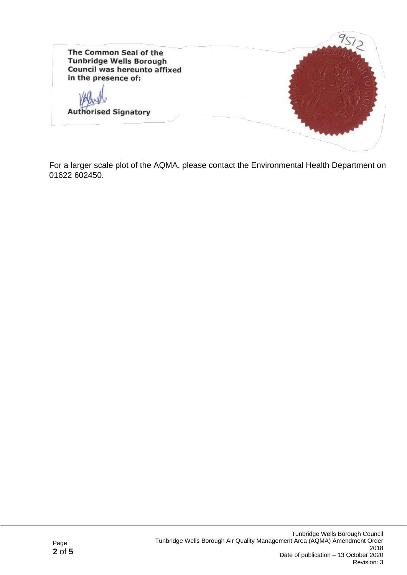

For a larger scale plot of the AQMA, please contact the Environmental Health Department on 01622 602450.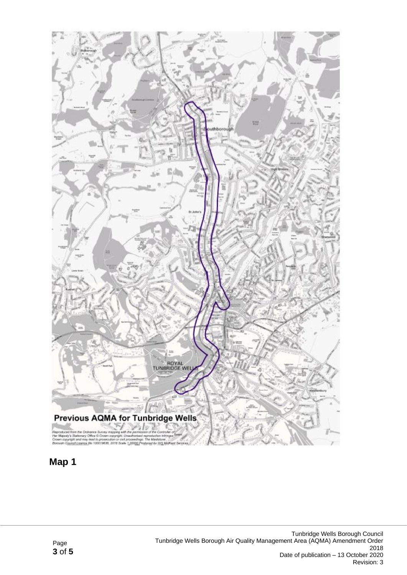

## **Map 1**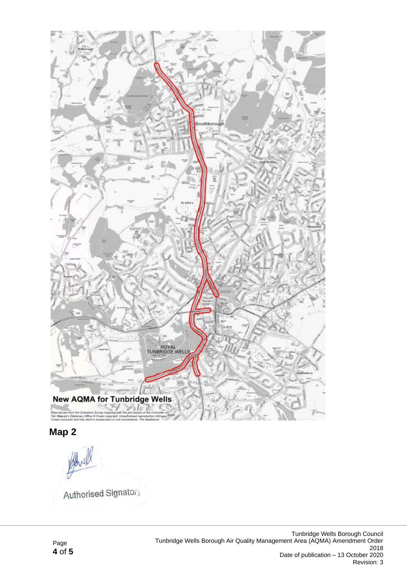

**Map 2**

Authorised Signatory